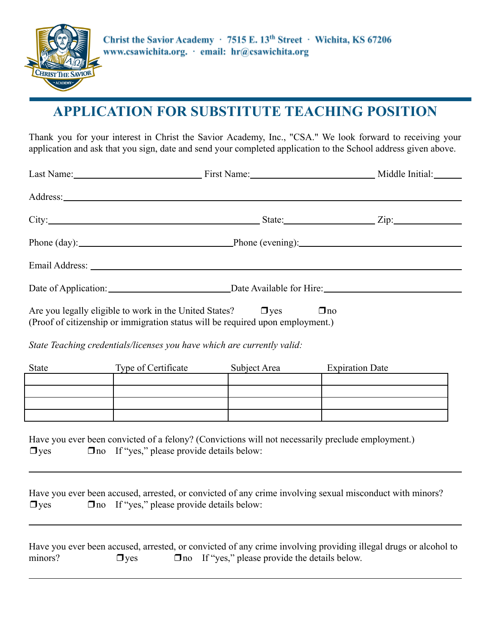

# **APPLICATION FOR SUBSTITUTE TEACHING POSITION**

Thank you for your interest in Christ the Savior Academy, Inc., "CSA." We look forward to receiving your application and ask that you sign, date and send your completed application to the School address given above.

|                                                                                                                                                                                                   | Last Name: Middle Initial: Manne First Name: Middle Initial:                                                    |              |                                                                                                                                                                                                                                                                                                                                                        |  |
|---------------------------------------------------------------------------------------------------------------------------------------------------------------------------------------------------|-----------------------------------------------------------------------------------------------------------------|--------------|--------------------------------------------------------------------------------------------------------------------------------------------------------------------------------------------------------------------------------------------------------------------------------------------------------------------------------------------------------|--|
|                                                                                                                                                                                                   |                                                                                                                 |              |                                                                                                                                                                                                                                                                                                                                                        |  |
|                                                                                                                                                                                                   |                                                                                                                 |              | City: Zip: Zip:                                                                                                                                                                                                                                                                                                                                        |  |
|                                                                                                                                                                                                   | Phone (day): Phone (evening): Phone (evening):                                                                  |              |                                                                                                                                                                                                                                                                                                                                                        |  |
|                                                                                                                                                                                                   |                                                                                                                 |              |                                                                                                                                                                                                                                                                                                                                                        |  |
|                                                                                                                                                                                                   |                                                                                                                 |              |                                                                                                                                                                                                                                                                                                                                                        |  |
| Are you legally eligible to work in the United States?<br>$\Box$ yes<br>$\Box$ no<br>(Proof of citizenship or immigration status will be required upon employment.)                               |                                                                                                                 |              |                                                                                                                                                                                                                                                                                                                                                        |  |
| State Teaching credentials/licenses you have which are currently valid:                                                                                                                           |                                                                                                                 |              |                                                                                                                                                                                                                                                                                                                                                        |  |
| State                                                                                                                                                                                             | <b>Type of Certificate</b>                                                                                      | Subject Area | <b>Expiration Date</b>                                                                                                                                                                                                                                                                                                                                 |  |
| <u> 1989 - Johann Stoff, Amerikaansk politiker (</u>                                                                                                                                              | the contract of the contract of the contract of the contract of the contract of the contract of the contract of |              | the control of the control of the control of the control of the control of the control of the control of the control of the control of the control of the control of the control of the control of the control of the control<br><u> La provincia de la contrada de la contrada de la contrada de la contrada de la contrada de la contrada de la </u> |  |
|                                                                                                                                                                                                   |                                                                                                                 |              |                                                                                                                                                                                                                                                                                                                                                        |  |
| Have you ever been convicted of a felony? (Convictions will not necessarily preclude employment.)<br>$\Box$ no If "yes," please provide details below:<br>$\Box$ yes                              |                                                                                                                 |              |                                                                                                                                                                                                                                                                                                                                                        |  |
| $\Box$ yes                                                                                                                                                                                        | $\Box$ no If "yes," please provide details below:                                                               |              | Have you ever been accused, arrested, or convicted of any crime involving sexual misconduct with minors?                                                                                                                                                                                                                                               |  |
| Have you ever been accused, arrested, or convicted of any crime involving providing illegal drugs or alcohol to<br>$\Box$ no If "yes," please provide the details below.<br>minors?<br>$\Box$ yes |                                                                                                                 |              |                                                                                                                                                                                                                                                                                                                                                        |  |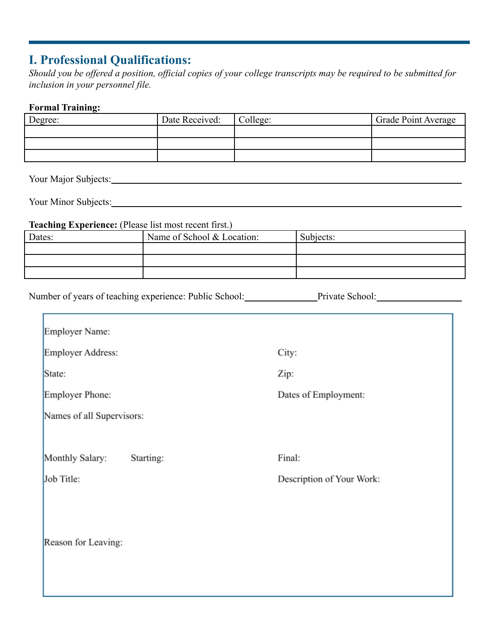## **I. Professional Qualifications:**

*Should you be offered a position, official copies of your college transcripts may be required to be submitted for inclusion in your personnel file.*

#### **Formal Training:**

| Degree: | Date Received: | College: | Grade Point Average |
|---------|----------------|----------|---------------------|
|         |                |          |                     |
|         |                |          |                     |
|         |                |          |                     |

Your Major Subjects:

Your Minor Subjects: Now a set of the set of the set of the set of the set of the set of the set of the set of the set of the set of the set of the set of the set of the set of the set of the set of the set of the set of t

Н

#### **Teaching Experience:** (Please list most recent first.)

| Dates: | Name of School & Location: | Subjects: |
|--------|----------------------------|-----------|
|        |                            |           |
|        |                            |           |
|        |                            |           |

Number of years of teaching experience: Public School: Private School:

| Employer Name:               |                           |  |  |  |
|------------------------------|---------------------------|--|--|--|
| Employer Address:            | City:                     |  |  |  |
| State:                       | Zip:                      |  |  |  |
| Employer Phone:              | Dates of Employment:      |  |  |  |
| Names of all Supervisors:    |                           |  |  |  |
|                              |                           |  |  |  |
| Monthly Salary:<br>Starting: | Final:                    |  |  |  |
| Job Title:                   | Description of Your Work: |  |  |  |
| Reason for Leaving:          |                           |  |  |  |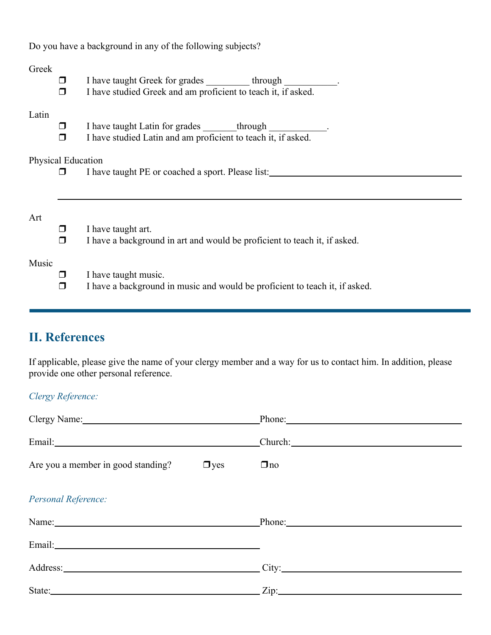Do you have a background in any of the following subjects?

#### Greek

 $\Box$  I have taught Greek for grades through ❒ I have studied Greek and am proficient to teach it, if asked.

#### Latin

- ❒ I have taught Latin for grades \_\_\_\_\_\_\_through \_\_\_\_\_\_\_\_\_\_\_\_.
- ❒ I have studied Latin and am proficient to teach it, if asked.

### Physical Education

❒ I have taught PE or coached a sport. Please list:

#### Art

- ❒ I have taught art.
- ❒ I have a background in art and would be proficient to teach it, if asked.

#### Music

- $\Box$  I have taught music.
- ❒ I have a background in music and would be proficient to teach it, if asked.

## **II. References**

If applicable, please give the name of your clergy member and a way for us to contact him. In addition, please provide one other personal reference.

### *Clergy Reference:*

| Clergy Name: Phone: Phone: Phone:                                                                                                                                                                                              |
|--------------------------------------------------------------------------------------------------------------------------------------------------------------------------------------------------------------------------------|
|                                                                                                                                                                                                                                |
| Are you a member in good standing? $\Box$ yes<br>$\Box$ no                                                                                                                                                                     |
|                                                                                                                                                                                                                                |
| Name: Phone: Phone: Phone: Phone: Phone: Phone: Phone: Phone: Phone: Phone: Phone: Phone: Phone: Phone: Phone: Phone: Phone: Phone: Phone: Phone: Phone: Phone: Phone: Phone: Phone: Phone: Phone: Phone: Phone: Phone: Phone: |
|                                                                                                                                                                                                                                |
| Address: City: City:                                                                                                                                                                                                           |
| State: Zip: Zip: Zip:                                                                                                                                                                                                          |
|                                                                                                                                                                                                                                |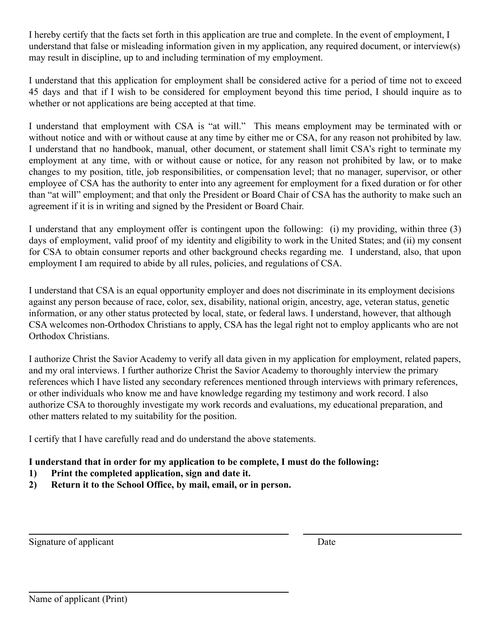I hereby certify that the facts set forth in this application are true and complete. In the event of employment, I understand that false or misleading information given in my application, any required document, or interview(s) may result in discipline, up to and including termination of my employment.

I understand that this application for employment shall be considered active for a period of time not to exceed 45 days and that if I wish to be considered for employment beyond this time period, I should inquire as to whether or not applications are being accepted at that time.

I understand that employment with CSA is "at will." This means employment may be terminated with or without notice and with or without cause at any time by either me or CSA, for any reason not prohibited by law. I understand that no handbook, manual, other document, or statement shall limit CSA's right to terminate my employment at any time, with or without cause or notice, for any reason not prohibited by law, or to make changes to my position, title, job responsibilities, or compensation level; that no manager, supervisor, or other employee of CSA has the authority to enter into any agreement for employment for a fixed duration or for other than "at will" employment; and that only the President or Board Chair of CSA has the authority to make such an agreement if it is in writing and signed by the President or Board Chair.

I understand that any employment offer is contingent upon the following: (i) my providing, within three (3) days of employment, valid proof of my identity and eligibility to work in the United States; and (ii) my consent for CSA to obtain consumer reports and other background checks regarding me. I understand, also, that upon employment I am required to abide by all rules, policies, and regulations of CSA.

I understand that CSA is an equal opportunity employer and does not discriminate in its employment decisions against any person because of race, color, sex, disability, national origin, ancestry, age, veteran status, genetic information, or any other status protected by local, state, or federal laws. I understand, however, that although CSA welcomes non-Orthodox Christians to apply, CSA has the legal right not to employ applicants who are not Orthodox Christians.

I authorize Christ the Savior Academy to verify all data given in my application for employment, related papers, and my oral interviews. I further authorize Christ the Savior Academy to thoroughly interview the primary references which I have listed any secondary references mentioned through interviews with primary references, or other individuals who know me and have knowledge regarding my testimony and work record. I also authorize CSA to thoroughly investigate my work records and evaluations, my educational preparation, and other matters related to my suitability for the position.

I certify that I have carefully read and do understand the above statements.

### **I understand that in order for my application to be complete, I must do the following:**

- **1) Print the completed application, sign and date it.**
- **2) Return it to the School Office, by mail, email, or in person.**

Signature of applicant Date